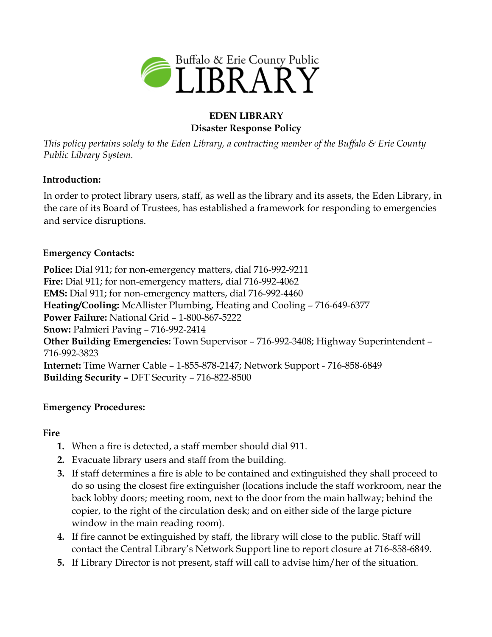

## **EDEN LIBRARY Disaster Response Policy**

*This policy pertains solely to the Eden Library, a contracting member of the Buffalo & Erie County Public Library System.* 

### **Introduction:**

In order to protect library users, staff, as well as the library and its assets, the Eden Library, in the care of its Board of Trustees, has established a framework for responding to emergencies and service disruptions.

### **Emergency Contacts:**

**Police:** Dial 911; for non-emergency matters, dial 716-992-9211 **Fire:** Dial 911; for non-emergency matters, dial 716-992-4062 **EMS:** Dial 911; for non-emergency matters, dial 716-992-4460 **Heating/Cooling:** McAllister Plumbing, Heating and Cooling – 716-649-6377 **Power Failure:** National Grid – 1-800-867-5222 **Snow:** Palmieri Paving – 716-992-2414 **Other Building Emergencies:** Town Supervisor – 716-992-3408; Highway Superintendent – 716-992-3823 **Internet:** Time Warner Cable – 1-855-878-2147; Network Support - 716-858-6849 **Building Security –** DFT Security – 716-822-8500

## **Emergency Procedures:**

#### **Fire**

- **1.** When a fire is detected, a staff member should dial 911.
- **2.** Evacuate library users and staff from the building.
- **3.** If staff determines a fire is able to be contained and extinguished they shall proceed to do so using the closest fire extinguisher (locations include the staff workroom, near the back lobby doors; meeting room, next to the door from the main hallway; behind the copier, to the right of the circulation desk; and on either side of the large picture window in the main reading room).
- **4.** If fire cannot be extinguished by staff, the library will close to the public. Staff will contact the Central Library's Network Support line to report closure at 716-858-6849.
- **5.** If Library Director is not present, staff will call to advise him/her of the situation.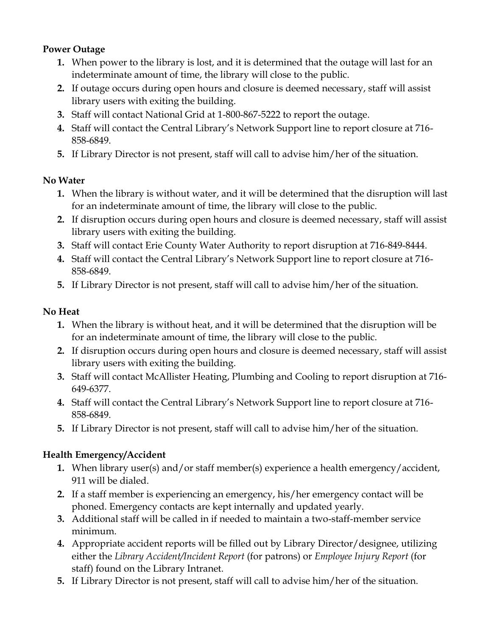## **Power Outage**

- **1.** When power to the library is lost, and it is determined that the outage will last for an indeterminate amount of time, the library will close to the public.
- **2.** If outage occurs during open hours and closure is deemed necessary, staff will assist library users with exiting the building.
- **3.** Staff will contact National Grid at 1-800-867-5222 to report the outage.
- **4.** Staff will contact the Central Library's Network Support line to report closure at 716- 858-6849.
- **5.** If Library Director is not present, staff will call to advise him/her of the situation.

### **No Water**

- **1.** When the library is without water, and it will be determined that the disruption will last for an indeterminate amount of time, the library will close to the public.
- **2.** If disruption occurs during open hours and closure is deemed necessary, staff will assist library users with exiting the building.
- **3.** Staff will contact Erie County Water Authority to report disruption at 716-849-8444.
- **4.** Staff will contact the Central Library's Network Support line to report closure at 716- 858-6849.
- **5.** If Library Director is not present, staff will call to advise him/her of the situation.

### **No Heat**

- **1.** When the library is without heat, and it will be determined that the disruption will be for an indeterminate amount of time, the library will close to the public.
- **2.** If disruption occurs during open hours and closure is deemed necessary, staff will assist library users with exiting the building.
- **3.** Staff will contact McAllister Heating, Plumbing and Cooling to report disruption at 716- 649-6377.
- **4.** Staff will contact the Central Library's Network Support line to report closure at 716- 858-6849.
- **5.** If Library Director is not present, staff will call to advise him/her of the situation.

## **Health Emergency/Accident**

- **1.** When library user(s) and/or staff member(s) experience a health emergency/accident, 911 will be dialed.
- **2.** If a staff member is experiencing an emergency, his/her emergency contact will be phoned. Emergency contacts are kept internally and updated yearly.
- **3.** Additional staff will be called in if needed to maintain a two-staff-member service minimum.
- **4.** Appropriate accident reports will be filled out by Library Director/designee, utilizing either the *Library Accident/Incident Report* (for patrons) or *Employee Injury Report* (for staff) found on the Library Intranet.
- **5.** If Library Director is not present, staff will call to advise him/her of the situation.